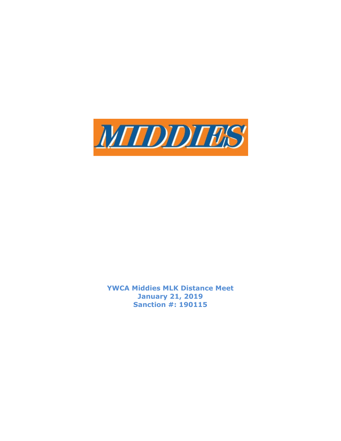

YWCA Middies MLK Distance Meet January 21, 2019 Sanction #: 190115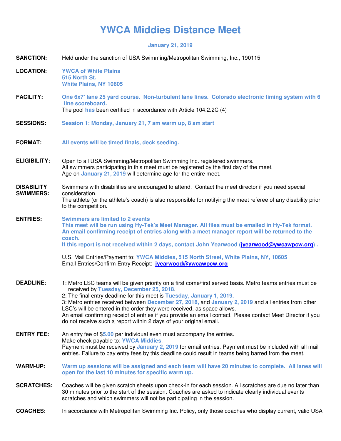## **YWCA Middies Distance Meet**

## **January 21, 2019**

| <b>SANCTION:</b>                      | Held under the sanction of USA Swimming/Metropolitan Swimming, Inc., 190115                                                                                                                                                                                                                                                                                                                                                                                                                                                                                                                           |  |  |
|---------------------------------------|-------------------------------------------------------------------------------------------------------------------------------------------------------------------------------------------------------------------------------------------------------------------------------------------------------------------------------------------------------------------------------------------------------------------------------------------------------------------------------------------------------------------------------------------------------------------------------------------------------|--|--|
| <b>LOCATION:</b>                      | <b>YWCA of White Plains</b><br>515 North St.<br><b>White Plains, NY 10605</b>                                                                                                                                                                                                                                                                                                                                                                                                                                                                                                                         |  |  |
| <b>FACILITY:</b>                      | One 6x7' lane 25 yard course. Non-turbulent lane lines. Colorado electronic timing system with 6<br>line scoreboard.<br>The pool has been certified in accordance with Article 104.2.2C (4)                                                                                                                                                                                                                                                                                                                                                                                                           |  |  |
| <b>SESSIONS:</b>                      | Session 1: Monday, January 21, 7 am warm up, 8 am start                                                                                                                                                                                                                                                                                                                                                                                                                                                                                                                                               |  |  |
| <b>FORMAT:</b>                        | All events will be timed finals, deck seeding.                                                                                                                                                                                                                                                                                                                                                                                                                                                                                                                                                        |  |  |
| <b>ELIGIBILITY:</b>                   | Open to all USA Swimming/Metropolitan Swimming Inc. registered swimmers.<br>All swimmers participating in this meet must be registered by the first day of the meet.<br>Age on January 21, 2019 will determine age for the entire meet.                                                                                                                                                                                                                                                                                                                                                               |  |  |
| <b>DISABILITY</b><br><b>SWIMMERS:</b> | Swimmers with disabilities are encouraged to attend. Contact the meet director if you need special<br>consideration.<br>The athlete (or the athlete's coach) is also responsible for notifying the meet referee of any disability prior<br>to the competition.                                                                                                                                                                                                                                                                                                                                        |  |  |
| <b>ENTRIES:</b>                       | <b>Swimmers are limited to 2 events</b><br>This meet will be run using Hy-Tek's Meet Manager. All files must be emailed in Hy-Tek format.<br>An email confirming receipt of entries along with a meet manager report will be returned to the<br>coach.<br>If this report is not received within 2 days, contact John Yearwood (jvearwood@ywcawpcw.org).                                                                                                                                                                                                                                               |  |  |
|                                       | U.S. Mail Entries/Payment to: YWCA Middies, 515 North Street, White Plains, NY, 10605<br>Email Entries/Confirm Entry Receipt: jvearwood@ywcawpcw.org                                                                                                                                                                                                                                                                                                                                                                                                                                                  |  |  |
| <b>DEADLINE:</b>                      | 1: Metro LSC teams will be given priority on a first come/first served basis. Metro teams entries must be<br>received by Tuesday, December 25, 2018.<br>2: The final entry deadline for this meet is Tuesday, January 1, 2019.<br>3: Metro entries received between December 27, 2018, and January 2, 2019 and all entries from other<br>LSC's will be entered in the order they were received, as space allows.<br>An email confirming receipt of entries if you provide an email contact. Please contact Meet Director if you<br>do not receive such a report within 2 days of your original email. |  |  |
| <b>ENTRY FEE:</b>                     | An entry fee of \$5.00 per individual even must accompany the entries.<br>Make check payable to: <b>YWCA Middies</b> .<br>Payment must be received by January 2, 2019 for email entries. Payment must be included with all mail<br>entries. Failure to pay entry fees by this deadline could result in teams being barred from the meet.                                                                                                                                                                                                                                                              |  |  |
| <b>WARM-UP:</b>                       | Warm up sessions will be assigned and each team will have 20 minutes to complete. All lanes will<br>open for the last 10 minutes for specific warm up.                                                                                                                                                                                                                                                                                                                                                                                                                                                |  |  |
| <b>SCRATCHES:</b>                     | Coaches will be given scratch sheets upon check-in for each session. All scratches are due no later than<br>30 minutes prior to the start of the session. Coaches are asked to indicate clearly individual events<br>scratches and which swimmers will not be participating in the session.                                                                                                                                                                                                                                                                                                           |  |  |
| <b>COACHES:</b>                       | In accordance with Metropolitan Swimming Inc. Policy, only those coaches who display current, valid USA                                                                                                                                                                                                                                                                                                                                                                                                                                                                                               |  |  |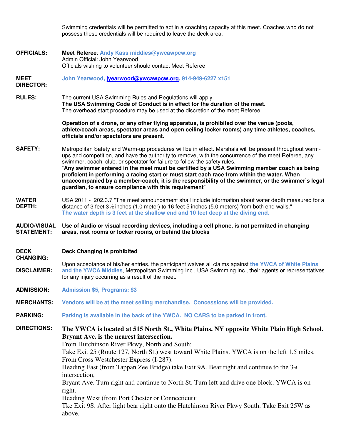Swimming credentials will be permitted to act in a coaching capacity at this meet. Coaches who do not possess these credentials will be required to leave the deck area.

**OFFICIALS: Meet Referee**: **Andy Kass middies@ywcawpcw.org** Admin Official: John Yearwood Officials wishing to volunteer should contact Meet Referee

**MEET John Yearwood, jyearwood@ywcawpcw.org, 914-949-6227 x151**

**RULES:** The current USA Swimming Rules and Regulations will apply. **The USA Swimming Code of Conduct is in effect for the duration of the meet.** The overhead start procedure may be used at the discretion of the meet Referee.

> **Operation of a drone, or any other flying apparatus, is prohibited over the venue (pools, athlete/coach areas, spectator areas and open ceiling locker rooms) any time athletes, coaches, officials and/or spectators are present.**

- **SAFETY:** Metropolitan Safety and Warm-up procedures will be in effect. Marshals will be present throughout warmups and competition, and have the authority to remove, with the concurrence of the meet Referee, any swimmer, coach, club, or spectator for failure to follow the safety rules. "**Any swimmer entered in the meet must be certified by a USA Swimming member coach as being proficient in performing a racing start or must start each race from within the water. When unaccompanied by a member-coach, it is the responsibility of the swimmer, or the swimmer's legal guardian, to ensure compliance with this requirement**"
- **WATER DEPTH:**  USA 2011 - 202.3.7 "The meet announcement shall include information about water depth measured for a distance of 3 feet 3½ inches (1.0 meter) to 16 feet 5 inches (5.0 meters) from both end walls." **The water depth is 3 feet at the shallow end and 10 feet deep at the diving end.**

**AUDIO/VISUAL STATEMENT: Use of Audio or visual recording devices, including a cell phone, is not permitted in changing areas, rest rooms or locker rooms, or behind the blocks** 

**DECK CHANGING: Deck Changing is prohibited** 

**DIRECTOR:** 

**DISCLAIMER:**  Upon acceptance of his/her entries, the participant waives all claims against **the YWCA of White Plains and the YWCA Middies**, Metropolitan Swimming Inc., USA Swimming Inc., their agents or representatives for any injury occurring as a result of the meet.

**ADMISSION: Admission \$5, Programs: \$3**

**MERCHANTS: Vendors will be at the meet selling merchandise. Concessions will be provided.**

**PARKING: Parking is available in the back of the YWCA. NO CARS to be parked in front.**

**DIRECTIONS: The YWCA is located at 515 North St., White Plains, NY opposite White Plain High School. Bryant Ave. is the nearest intersection.** 

From Hutchinson River Pkwy, North and South:

Take Exit 25 (Route 127, North St.) west toward White Plains. YWCA is on the left 1.5 miles. From Cross Westchester Express (I-287):

Heading East (from Tappan Zee Bridge) take Exit 9A. Bear right and continue to the 3rd intersection,

Bryant Ave. Turn right and continue to North St. Turn left and drive one block. YWCA is on right.

Heading West (from Port Chester or Connecticut):

Tke Exit 9S. After light bear right onto the Hutchinson River Pkwy South. Take Exit 25W as above.